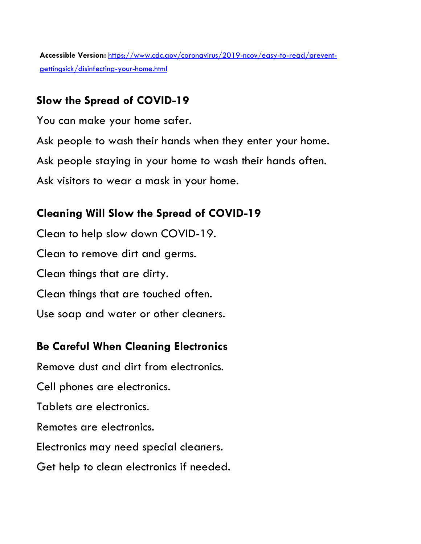**Accessible Version:** [https://www.cdc.gov/coronavirus/2019-ncov/easy-to-read/prevent](https://www.cdc.gov/coronavirus/2019-ncov/easy-to-read/prevent-getting-sick/disinfecting-your-home.html)[gettingsick/disinfecting-your-home.html](https://www.cdc.gov/coronavirus/2019-ncov/easy-to-read/prevent-getting-sick/disinfecting-your-home.html)

### **Slow the Spread of COVID-19**

You can make your home safer.

Ask people to wash their hands when they enter your home.

Ask people staying in your home to wash their hands often.

Ask visitors to wear a mask in your home.

# **Cleaning Will Slow the Spread of COVID-19**

Clean to help slow down COVID-19. Clean to remove dirt and germs. Clean things that are dirty. Clean things that are touched often. Use soap and water or other cleaners.

# **Be Careful When Cleaning Electronics**

Remove dust and dirt from electronics. Cell phones are electronics. Tablets are electronics. Remotes are electronics. Electronics may need special cleaners. Get help to clean electronics if needed.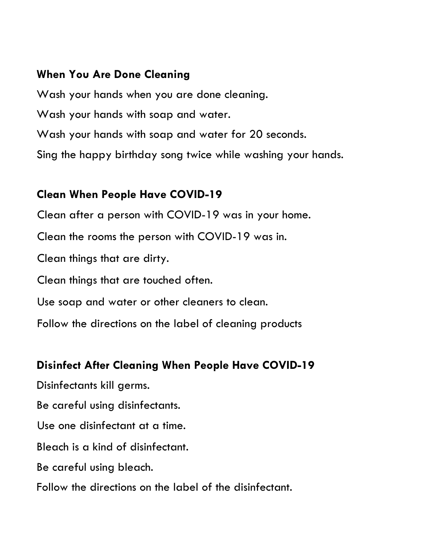#### **When You Are Done Cleaning**

Wash your hands when you are done cleaning. Wash your hands with soap and water. Wash your hands with soap and water for 20 seconds. Sing the happy birthday song twice while washing your hands.

#### **Clean When People Have COVID-19**

Clean after a person with COVID-19 was in your home. Clean the rooms the person with COVID-19 was in. Clean things that are dirty. Clean things that are touched often. Use soap and water or other cleaners to clean. Follow the directions on the label of cleaning products

# **Disinfect After Cleaning When People Have COVID-19**

Disinfectants kill germs.

Be careful using disinfectants.

Use one disinfectant at a time.

Bleach is a kind of disinfectant.

Be careful using bleach.

Follow the directions on the label of the disinfectant.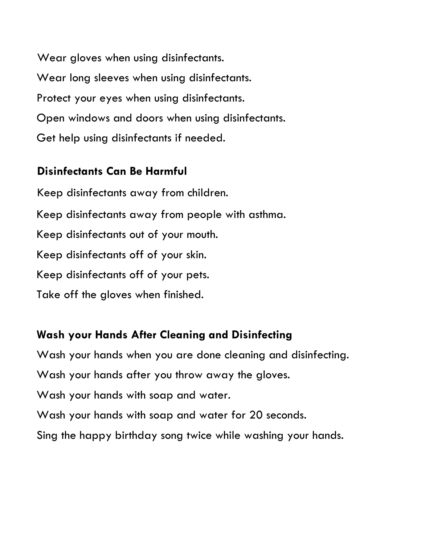Wear gloves when using disinfectants. Wear long sleeves when using disinfectants. Protect your eyes when using disinfectants. Open windows and doors when using disinfectants. Get help using disinfectants if needed.

#### **Disinfectants Can Be Harmful**

Keep disinfectants away from children. Keep disinfectants away from people with asthma. Keep disinfectants out of your mouth. Keep disinfectants off of your skin. Keep disinfectants off of your pets. Take off the gloves when finished.

# **Wash your Hands After Cleaning and Disinfecting**

Wash your hands when you are done cleaning and disinfecting.

Wash your hands after you throw away the gloves.

Wash your hands with soap and water.

Wash your hands with soap and water for 20 seconds.

Sing the happy birthday song twice while washing your hands.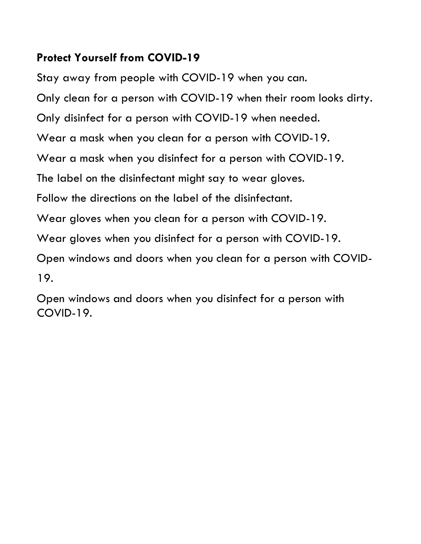### **Protect Yourself from COVID-19**

Stay away from people with COVID-19 when you can. Only clean for a person with COVID-19 when their room looks dirty. Only disinfect for a person with COVID-19 when needed. Wear a mask when you clean for a person with COVID-19. Wear a mask when you disinfect for a person with COVID-19. The label on the disinfectant might say to wear gloves. Follow the directions on the label of the disinfectant. Wear gloves when you clean for a person with COVID-19. Wear gloves when you disinfect for a person with COVID-19. Open windows and doors when you clean for a person with COVID-19.

Open windows and doors when you disinfect for a person with COVID-19.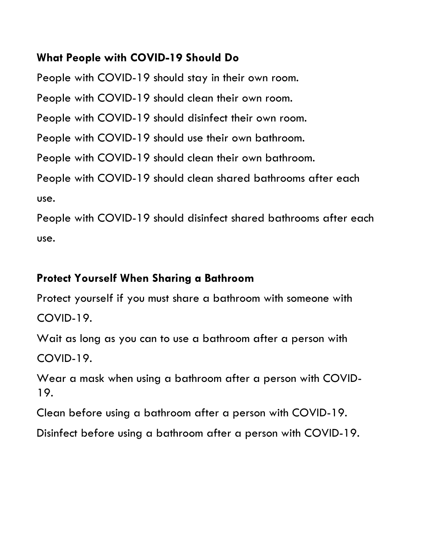### **What People with COVID-19 Should Do**

People with COVID-19 should stay in their own room.

People with COVID-19 should clean their own room.

People with COVID-19 should disinfect their own room.

People with COVID-19 should use their own bathroom.

People with COVID-19 should clean their own bathroom.

People with COVID-19 should clean shared bathrooms after each use.

People with COVID-19 should disinfect shared bathrooms after each use.

### **Protect Yourself When Sharing a Bathroom**

Protect yourself if you must share a bathroom with someone with COVID-19.

Wait as long as you can to use a bathroom after a person with COVID-19.

Wear a mask when using a bathroom after a person with COVID-19.

Clean before using a bathroom after a person with COVID-19.

Disinfect before using a bathroom after a person with COVID-19.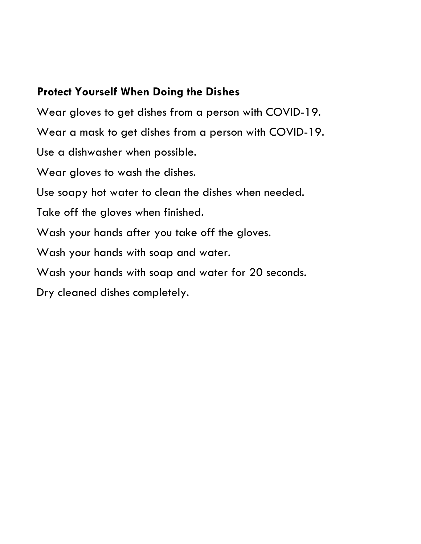### **Protect Yourself When Doing the Dishes**

Wear gloves to get dishes from a person with COVID-19. Wear a mask to get dishes from a person with COVID-19. Use a dishwasher when possible. Wear gloves to wash the dishes.

Use soapy hot water to clean the dishes when needed.

Take off the gloves when finished.

Wash your hands after you take off the gloves.

Wash your hands with soap and water.

Wash your hands with soap and water for 20 seconds.

Dry cleaned dishes completely.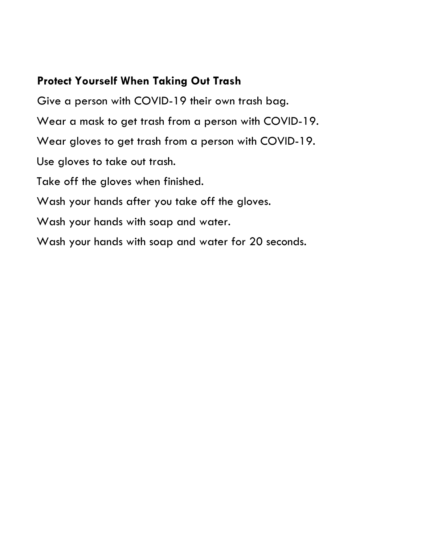### **Protect Yourself When Taking Out Trash**

Give a person with COVID-19 their own trash bag. Wear a mask to get trash from a person with COVID-19. Wear gloves to get trash from a person with COVID-19. Use gloves to take out trash. Take off the gloves when finished. Wash your hands after you take off the gloves. Wash your hands with soap and water. Wash your hands with soap and water for 20 seconds.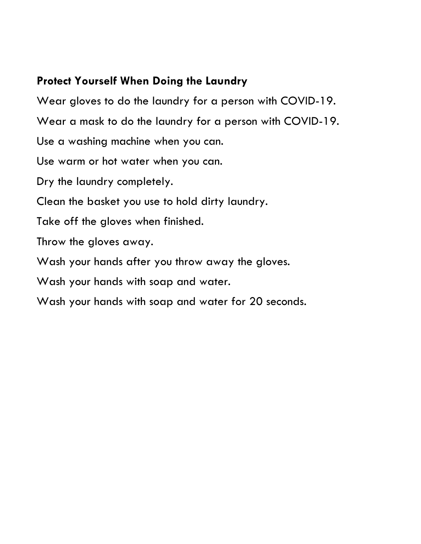### **Protect Yourself When Doing the Laundry**

Wear gloves to do the laundry for a person with COVID-19. Wear a mask to do the laundry for a person with COVID-19. Use a washing machine when you can. Use warm or hot water when you can. Dry the laundry completely. Clean the basket you use to hold dirty laundry. Take off the gloves when finished. Throw the gloves away. Wash your hands after you throw away the gloves. Wash your hands with soap and water. Wash your hands with soap and water for 20 seconds.